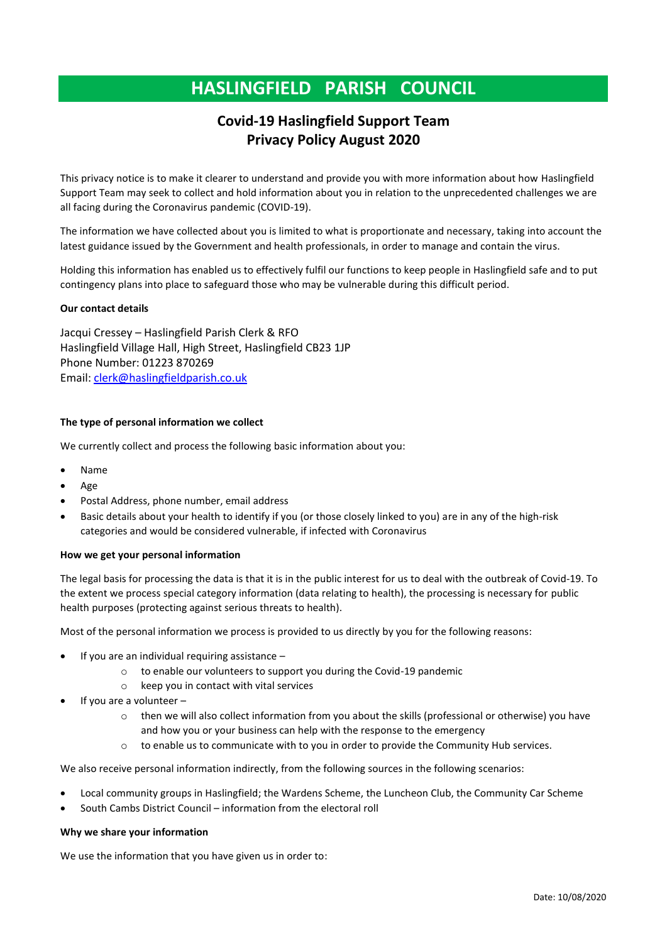# **HASLINGFIELD PARISH COUNCIL**

# **Covid-19 Haslingfield Support Team Privacy Policy August 2020**

This privacy notice is to make it clearer to understand and provide you with more information about how Haslingfield Support Team may seek to collect and hold information about you in relation to the unprecedented challenges we are all facing during the Coronavirus pandemic (COVID-19).

The information we have collected about you is limited to what is proportionate and necessary, taking into account the latest guidance issued by the Government and health professionals, in order to manage and contain the virus.

Holding this information has enabled us to effectively fulfil our functions to keep people in Haslingfield safe and to put contingency plans into place to safeguard those who may be vulnerable during this difficult period.

# **Our contact details**

Jacqui Cressey – Haslingfield Parish Clerk & RFO Haslingfield Village Hall, High Street, Haslingfield CB23 1JP Phone Number: 01223 870269 Email: [clerk@haslingfieldparish.co.uk](mailto:clerk@haslingfieldparish.co.uk)

# **The type of personal information we collect**

We currently collect and process the following basic information about you:

- Name
- Age
- Postal Address, phone number, email address
- Basic details about your health to identify if you (or those closely linked to you) are in any of the high-risk categories and would be considered vulnerable, if infected with Coronavirus

# **How we get your personal information**

The legal basis for processing the data is that it is in the public interest for us to deal with the outbreak of Covid-19. To the extent we process special category information (data relating to health), the processing is necessary for public health purposes (protecting against serious threats to health).

Most of the personal information we process is provided to us directly by you for the following reasons:

- If you are an individual requiring assistance  $$ 
	- o to enable our volunteers to support you during the Covid-19 pandemic
	- o keep you in contact with vital services
- If you are a volunteer
	- o then we will also collect information from you about the skills (professional or otherwise) you have and how you or your business can help with the response to the emergency
	- o to enable us to communicate with to you in order to provide the Community Hub services.

We also receive personal information indirectly, from the following sources in the following scenarios:

- Local community groups in Haslingfield; the Wardens Scheme, the Luncheon Club, the Community Car Scheme
- South Cambs District Council information from the electoral roll

#### **Why we share your information**

We use the information that you have given us in order to: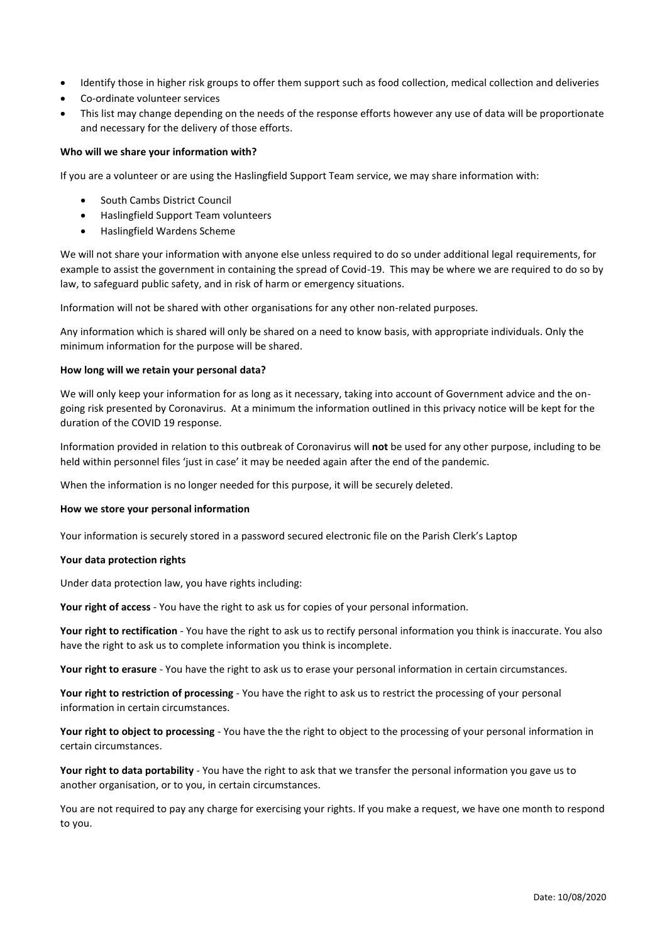- Identify those in higher risk groups to offer them support such as food collection, medical collection and deliveries
- Co-ordinate volunteer services
- This list may change depending on the needs of the response efforts however any use of data will be proportionate and necessary for the delivery of those efforts.

#### **Who will we share your information with?**

If you are a volunteer or are using the Haslingfield Support Team service, we may share information with:

- South Cambs District Council
- Haslingfield Support Team volunteers
- Haslingfield Wardens Scheme

We will not share your information with anyone else unless required to do so under additional legal requirements, for example to assist the government in containing the spread of Covid-19. This may be where we are required to do so by law, to safeguard public safety, and in risk of harm or emergency situations.

Information will not be shared with other organisations for any other non-related purposes.

Any information which is shared will only be shared on a need to know basis, with appropriate individuals. Only the minimum information for the purpose will be shared.

#### **How long will we retain your personal data?**

We will only keep your information for as long as it necessary, taking into account of Government advice and the ongoing risk presented by Coronavirus. At a minimum the information outlined in this privacy notice will be kept for the duration of the COVID 19 response.

Information provided in relation to this outbreak of Coronavirus will **not** be used for any other purpose, including to be held within personnel files 'just in case' it may be needed again after the end of the pandemic.

When the information is no longer needed for this purpose, it will be securely deleted.

#### **How we store your personal information**

Your information is securely stored in a password secured electronic file on the Parish Clerk's Laptop

#### **Your data protection rights**

Under data protection law, you have rights including:

**Your right of access** - You have the right to ask us for copies of your personal information.

**Your right to rectification** - You have the right to ask us to rectify personal information you think is inaccurate. You also have the right to ask us to complete information you think is incomplete.

**Your right to erasure** - You have the right to ask us to erase your personal information in certain circumstances.

**Your right to restriction of processing** - You have the right to ask us to restrict the processing of your personal information in certain circumstances.

**Your right to object to processing** - You have the the right to object to the processing of your personal information in certain circumstances.

**Your right to data portability** - You have the right to ask that we transfer the personal information you gave us to another organisation, or to you, in certain circumstances.

You are not required to pay any charge for exercising your rights. If you make a request, we have one month to respond to you.